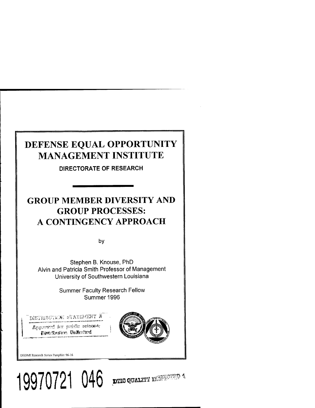# DEFENSE EQUAL OPPORTUNITY MANAGEMENT INSTITUTE

**DIRECTORATE OF RESEARCH**

## GROUP MEMBER DIVERSITY AND GROUP PROCESSES: A CONTINGENCY APPROACH

by

Stephen B. Knouse, PhD Alvin and Patricia Smith Professor of Management University of Southwestern Louisiana

> Summer Faculty Research Fellow Summer 1996

**19970721 046**

r thermata winterne a

Approved for pricite retease; *Dave insien* Unkertud



DEOMI Research Scries Pamphlet 96-16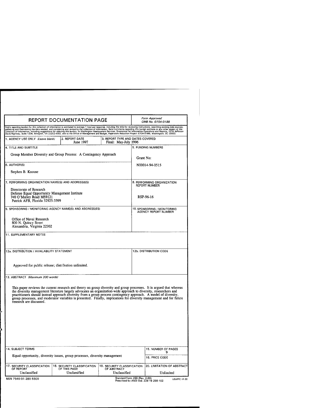| <b>REPORT DOCUMENTATION PAGE</b>                                                                                                                                                                                                                                                                                                                                                                                                                                                                                 |                                                             | Form Approved<br>OMB No. 0704-0188                         |                                                                         |                                         |
|------------------------------------------------------------------------------------------------------------------------------------------------------------------------------------------------------------------------------------------------------------------------------------------------------------------------------------------------------------------------------------------------------------------------------------------------------------------------------------------------------------------|-------------------------------------------------------------|------------------------------------------------------------|-------------------------------------------------------------------------|-----------------------------------------|
| Public reporting burden for this collection of information is estimated to average 1 hour per response, including the time for reviewing instructions, searching existing date sources,<br>gathering and maintaining the data nee                                                                                                                                                                                                                                                                                |                                                             |                                                            |                                                                         |                                         |
| 1. AGENCY USE ONLY (Leave blank)                                                                                                                                                                                                                                                                                                                                                                                                                                                                                 | 2. REPORT DATE<br>June 1997                                 | 3. REPORT TYPE AND DATES COVERED<br>Final: May-July 1996   |                                                                         |                                         |
| 4. TITLE AND SUBTITLE                                                                                                                                                                                                                                                                                                                                                                                                                                                                                            |                                                             |                                                            | 5. FUNDING NUMBERS                                                      |                                         |
| Group Member Diversity and Group Process: A Contingency Approach                                                                                                                                                                                                                                                                                                                                                                                                                                                 | Grant No:                                                   |                                                            |                                                                         |                                         |
| 6. AUTHORIS)                                                                                                                                                                                                                                                                                                                                                                                                                                                                                                     | N00014-94-0515                                              |                                                            |                                                                         |                                         |
| Stephen B. Knouse                                                                                                                                                                                                                                                                                                                                                                                                                                                                                                |                                                             |                                                            |                                                                         |                                         |
| 7. PERFORMING ORGANIZATION NAME(S) AND ADDRESS(ES)                                                                                                                                                                                                                                                                                                                                                                                                                                                               | <b>REPORT NUMBER</b>                                        | 8. PERFORMING ORGANIZATION                                 |                                                                         |                                         |
| Directorate of Research<br>Defense Equal Opportunity Management Institute<br>740 O'Malley Road MS9121<br>Patrick AFB, Florida 32925-3399                                                                                                                                                                                                                                                                                                                                                                         | RSP-96-16                                                   |                                                            |                                                                         |                                         |
| 9. SPONSORING / MONITORING AGENCY NAME(S) AND ADDRESS(ES)                                                                                                                                                                                                                                                                                                                                                                                                                                                        | 10. SPONSORING / MONITORING<br>AGENCY REPORT NUMBER         |                                                            |                                                                         |                                         |
| Office of Naval Research<br>800 N. Quincy Street<br>Alexandria, Virginia 22302                                                                                                                                                                                                                                                                                                                                                                                                                                   |                                                             |                                                            |                                                                         |                                         |
| 11. SUPPLEMENTARY NOTES                                                                                                                                                                                                                                                                                                                                                                                                                                                                                          |                                                             |                                                            |                                                                         |                                         |
|                                                                                                                                                                                                                                                                                                                                                                                                                                                                                                                  |                                                             |                                                            |                                                                         |                                         |
| 12a. DISTRIBUTION / AVAILABILITY STATEMENT                                                                                                                                                                                                                                                                                                                                                                                                                                                                       | 12b. DISTRIBUTION CODE                                      |                                                            |                                                                         |                                         |
| Approved for public release; distribution unlimited.                                                                                                                                                                                                                                                                                                                                                                                                                                                             |                                                             |                                                            |                                                                         |                                         |
| 13. ABSTRACT (Maximum 200 words)                                                                                                                                                                                                                                                                                                                                                                                                                                                                                 |                                                             |                                                            |                                                                         |                                         |
| This paper reviews the current research and theory on group diversity and group processes. It is argued that whereas<br>the diversity management literature largely advocates an organization-wide approach to diversity, researchers and<br>practitioners should instead approach diversity from a group process contingency approach. A model of diversity,<br>group processes, and moderator variables is presented. Finally, implications for diversity management and for future<br>research are discussed. |                                                             |                                                            |                                                                         |                                         |
|                                                                                                                                                                                                                                                                                                                                                                                                                                                                                                                  |                                                             |                                                            |                                                                         |                                         |
| 14. SUBJECT TERMS                                                                                                                                                                                                                                                                                                                                                                                                                                                                                                |                                                             | 15. NUMBER OF PAGES                                        |                                                                         |                                         |
| Equal opportunity, diversity issues, group processes, diversity management                                                                                                                                                                                                                                                                                                                                                                                                                                       |                                                             | 9<br>16. PRICE CODE                                        |                                                                         |                                         |
| 17. SECURITY CLASSIFICATION<br>OF REPORT<br>Unclassified                                                                                                                                                                                                                                                                                                                                                                                                                                                         | 18. SECURITY CLASSIFICATION<br>OF THIS PAGE<br>Unclassified | 19. SECURITY CLASSIFICATION<br>OF ABSTRACT<br>Unclassified |                                                                         | 20. LIMITATION OF ABSTRACT<br>Unlimited |
| NSN 7540-01-280-5500                                                                                                                                                                                                                                                                                                                                                                                                                                                                                             |                                                             |                                                            | Standard Form 298 (Rev. 2-89)<br>Prescribed by ANSI Std. Z39-18 298-102 | USAPPC V1.00                            |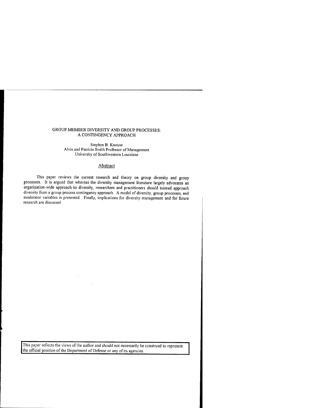## GROUP MEMBER DIVERSITY AND GROUP PROCESSES: A CONTINGENCY APPROACH

Stephen B. Knouse Alvin and Patricia Smith Professor of Management University of Southwestern Louisiana

## **Abstract**

This paper reviews the current research and theory on group diversity and group processes. It is argued that whereas the diversity management literature largely advocates an organization-wide approach to diversity, researchers and practitioners should instead approach diversity from a group process contingency approach. A model of diversity, group processes, and moderator variables is presented. Finally, implications for diversity management and for future research are discussed.

 $\mathcal{A}$ 

This paper reflects the views of the author and should not necessarily be construed to represent the official position of the Department of Defense or any of its agencies.

 $\sim$ 

 $\mathcal{L}$ 

 $\sim$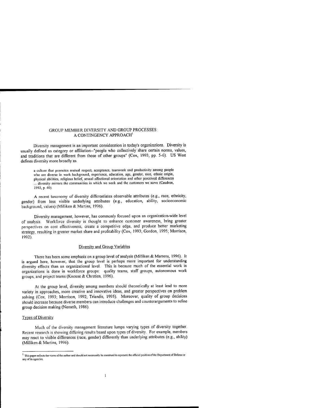## GROUP MEMBER DIVERSITY AND GROUP PROCESSES:<br>A CONTINGENCY APPROACH<sup>1</sup>

Diversity management is an important consideration in today's organizations. Diversity is usually defined as category or affiliation--"people who collectively share certain norms, values, and traditions that are different from those of other groups" (Cox, 1993, pp. 5-6). US West defines diversity more broadly as

a culture that promotes mutual respect, acceptance, teamwork and productivity among people who are diverse in work background, experience, education, age, gender, race, ethnic origin, physical abilities, religious belief, sexual affectional orientation and other perceived differences ... diversity mirrors the communities in which we work and the customers we serve (Caudron, 1992, p. 40).

A recent taxonomy of diversity differentiates observable attributes (e.g., race, ethnicity, gender) from less visible underlying attributes (e.g., education, ability, socioeconomic background, values) (Milliken & Martins, 1996).

Diversity management, however, has commonly focused upon an organization-wide level of analysis. Workforce diversity is thought to enhance customer awareness, bring greater perspectives on cost effectiveness, create a competitive edge, and produce better marketing strategy, resulting in greater market share and profitability (Cox, 1993; Gordon, 1995; Morrison, 1992).

## Diversity and Group Variables

There has been some emphasis on a group level of analysis (Milliken & Martens, 1996). It is argued here, however, that the group level is perhaps more important for understanding diversity effects than an organizational level. This is because much of the essential work in organizations is done in workforce groups: quality teams, staff groups, autonomous work groups, and project teams (Knouse & Chretien, 1996).

At the group level, diversity among members should theoretically at least lead to more variety in approaches, more creative and innovative ideas, and greater perspectives on problem solving (Cox, 1993; Morrison, 1992; Triandis, 1995). Moreover, quality of group decisions should increase because diverse members can introduce challenges and counterarguments to refine group decision making (Nemeth, 1986).

## **Types of Diversity**

Much of the diversity management literature lumps varying types of diversity together. Recent research is showing differing results based upon types of diversity. For example, members may react to visible differences (race, gender) differently than underlying attributes (e.g., ability) (Milliken & Martins, 1996).

 $\mathbf{I}$ 

<sup>&</sup>lt;sup>1</sup> This paper reflects the views of the author and should not necessarily be construed to represent the official position of the Department of Defense or any of its agencies.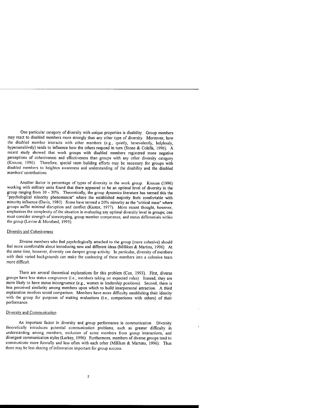One particular category of diversity with unique properties is disability. Group members may react to disabled members more strongly than any other type of diversity. Moreover, how the disabled member interacts with other members (e.g., quietly, benevolently, helplessly, hypersensitively) tends to influence how the others respond in turn (Stone & Colella, 1996). A recent study showed that work groups with disabled members registered more negative perceptions of cohesiveness and effectiveness than groups with any other diversity category (Knouse, 1996). Therefore, special team building efforts may be necessary for groups with disabled members to heighten awareness and understanding of the disability and the disabled members' contributions.

Another factor is percentage of types of diversity in the work group. Knouse (1996) working with military units found that there appeared to be an optimal level of diversity in the group ranging from 10-30%. Theoretically, the group dynamics literature has termed this the "psychological minority phenomenon" where the established majority feels comfortable with minority influence (Davis, 1980). Some have termed a 20% minority as the "critical mass" where groups suffer minimal disruption and conflict (Kanter, 1977). More recent thought, however, emphasizes the complexity of the situation in evaluating any optimal diversity level in groups; one must consider strength of stereotyping, group member competence, and status differentials within the group (Levine & Moreland, 1995).

## Diversity and Cohesiveness

Diverse members who feel psychologically attached to the group (more cohesive) should feel more comfortable about introducing new and different ideas (Milliken & Martins, 1996). At the same time, however, diversity can dampen group activity. In particular, diversity of members with their varied backgrounds can make the coalescing of these members into a cohesive team more difficult.

There are several theoretical explanations for this problem (Cox, 1993). First, diverse groups have less status congruence (i.e., members taking on expected roles). Instead, they are more likely to have status incongruence (e.g., women in leadership positions). Second, there is less perceived similarity among members upon which to build interpersonal attraction. A third explanation involves social comparison. Members have more difficulty establishing their identity with the group for purposes of making evaluations (i.e., comparisons with others) of their performance.

#### Diversity and Communication

An important factor in diversity and group performance is communication. Diversity theoretically introduces potential communication problems, such as greater difficulty in understanding among members, exclusion of some members from group interactions, and divergent communication styles (Larkey, 1996). Furthermore, members of diverse groups tend to communicate more formally and less often with each other (Milliken & Martens, 1996). Thus there may be less sharing of information important for group success.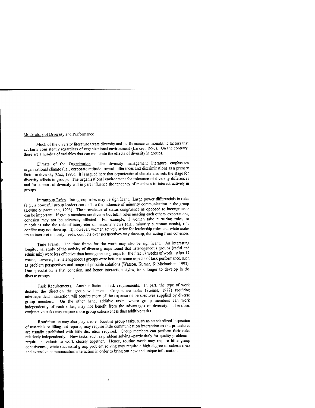#### Moderators of Diversity and Performance

Much of the diversity literature treats diversity and performance as monolithic factors that act fairly consistently regardless of organizational environment (Larkey, 1996). On the contrary, there are a number of variables that can moderate the effects of diversity in groups.

Climate of the Organization. The diversity management literature emphasizes organizational climate (i.e., corporate attitude toward differences and discrimination) as a primary factor in diversity (Cox, 1993). It is argued here that organizational climate also sets the stage for diversity effects in groups. The organizational environment for tolerance of diversity differences and for support of diversity will in part influence the tendency of members to interact actively in groups.

Intraeroup Roles. Intragroup roles may be significant. Large power differentials in roles (e.g., a powerful group leader) can deflate the influence of minority communication in the group (Levine & Moreland, 1995). The prevalence of status congruence as opposed to incongruence can be important. If group members are diverse but fulfill roles meeting each others' expectations, cohesion may not be adversely affected. For example, if women take nurturing roles, or minorities take the role of interpreter of minority views (e.g., minority customer needs), role conflict may not develop. If, however, women actively strive for leadership roles and white males try to interpret minority needs, conflicts over perspectives may develop, detracting from cohesion.

Time Frame. The time frame for the work may also be significant. An interesting longitudinal study of the activity of diverse groups found that heterogeneous groups (racial and ethnic mix) were less effective than homogeneous groups for the first 17 weeks of work. After 17 weeks, however, the heterogeneous groups were better at some aspects of task performance, such as problem perspectives and range of possible solutions (Watson, Kumar, & Michaelsen, 1993). One speculation is that cohesion, and hence interaction styles, took longer to develop in the diverse groups.

Task Requirements. Another factor is task requirements. In part, the type of work dictates the direction the group will take. Conjunctive tasks (Steiner, 1972) requiring interdependent interaction will require more of the expanse of perspectives supplied by diverse group members. On the other hand, additive tasks, where group members can work independently of each other, may not benefit from the advantages of diversity. Therefore, conjunctive tasks may require more group cohesiveness than additive tasks.

Routinization may also play a role. Routine group tasks, such as standardized inspection of materials or filling out reports, may require little communication interaction as the procedures are usually established with little discretion required. Group members can perform their roles relatively independently. New tasks, such as problem solving--particularly for quality problems-require individuals to work closely together. Hence, routine work may require little group cohesiveness, while successful group problem solving may require a high degree of cohesiveness and extensive communication interaction in order to bring out new and unique information.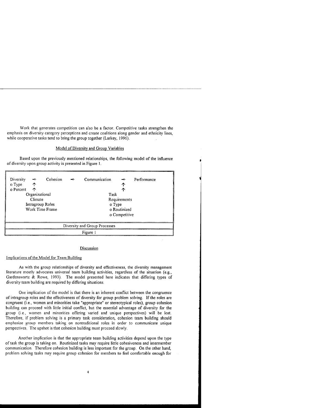Work that generates competition can also be a factor. Competitive tasks strengthen the emphasis on diversity category perceptions and create coalitions along gender and ethnicity lines, while cooperative tasks tend to bring the group together (Larkey, 1996).

## Model of Diversity and Group Variables

Based upon the previously mentioned relationships, the following model of the influence of diversity upon group activity is presented in Figure 1.

| Diversity                     | $\Rightarrow$ | Cohesion     | $\Rightarrow$ | Communication | $\rightarrow$ | Performance |  |  |
|-------------------------------|---------------|--------------|---------------|---------------|---------------|-------------|--|--|
| o Type                        | ↑             |              |               |               | ↑             |             |  |  |
| o Percent                     | ↑             |              |               |               | ↑             |             |  |  |
| Organizational                |               | Task         |               |               |               |             |  |  |
| Climate                       |               | Requirements |               |               |               |             |  |  |
| Intragroup Roles              |               |              | o Type        |               |               |             |  |  |
| Work Time Frame               |               |              |               | o Routinized  |               |             |  |  |
|                               |               |              | o Competitive |               |               |             |  |  |
|                               |               |              |               |               |               |             |  |  |
| Diversity and Group Processes |               |              |               |               |               |             |  |  |
| Figure 1                      |               |              |               |               |               |             |  |  |

#### **Discussion**

### Implications of the Model for Team Building

As with the group relationships of diversity and effectiveness, the diversity management literature mostly advocates universal team building activities, regardless of the situation (e.g., Gardenswartz & Rowe, 1993). The model presented here indicates that differing types of diversity team building are required by differing situations.

One implication of the model is that there is an inherent conflict between the congruence of intragroup roles and the effectiveness of diversity for group problem solving. If the roles are congruent (i.e., women and minorities take "appropriate" or stereotypical roles), group cohesion building can proceed with little initial conflict, but the essential advantage of diversity for the group (i.e., women and minorities offering varied and unique perspectives) will be lost. Therefore, if problem solving is a primary task consideration, cohesion team building should emphasize group members taking on nontraditional roles in order to communicate unique perspectives. The upshot is that cohesion building must proceed slowly.

Another implication is that the appropriate team building activities depend upon the type of task the group is taking on. Routinized tasks may require little cohesiveness and intermember communication. Therefore cohesion building is less important for the group. On the other hand, problem solving tasks may require group cohesion for members to feel comfortable enough for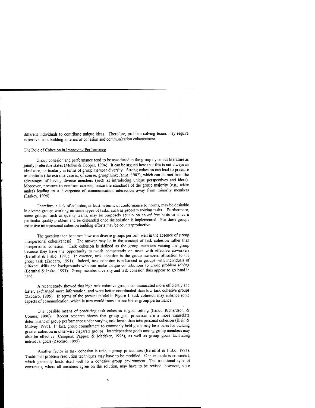different individuals to contribute unique ideas. Therefore, problem solving teams may require extensive team building in terms of cohesion and communication enhancement.

### The Role of Cohesion in Improving Performance

Group cohesion and performance tend to be associated in the group dynamics literature as jointly preferable states (Mullen & Cooper, 1994). It can be argued here that this is not always an ideal case, particularly in terms of group member diversity. Strong cohesion can lead to pressure to conform (the extreme case is, of course, groupthink; Janus, 1982), which can detract from the advantages of having diverse members (such as introducing unique perspectives and ideas). Moreover, pressure to conform can emphasize the standards of the group majority (e.g., white males) leading to a divergence of communication interaction away from minority members (Larkey, 1996).

Therefore, a lack of cohesion, at least in terms of conformance to norms, may be desirable in diverse groups working on some types of tasks, such as problem solving tasks. Furthermore, some groups, such as quality teams, may be purposely set up on an *ad hoc* basis to solve a particular quality problem and be disbanded once the solution is implemented. For these groups extensive interpersonal cohesion building efforts may be counterproductive.

The question then becomes how can diverse groups perform well in the absence of strong interpersonal cohesiveness? The answer may lie in the concept of task cohesion rather than interpersonal cohesion. Task cohesion is defined as the group members valuing the group because they have the opportunity to work competently on tasks with effective coworkers (Bernthal & Insko, 1993). In essence, task cohesion is the group members' attraction to the group task (Zaccaro, 1991). Indeed, task cohesion is enhanced in groups with individuals of different skills and backgrounds who can make unique contributions to group problem solving (Bernthal & Insko, 1993). Group member diversity and task cohesion thus appear to go hand in hand.

A recent study showed that high task cohesive groups communicated more efficiently and faster, exchanged more information, and were better coordinated than low task cohesive groups (Zaccaro, 1995). In terms of the present model in Figure 1, task cohesion may enhance some aspects of communication, which in turn would translate into better group performance.

One possible means of producing task cohesion is goal setting (Fandt, Richardson, & Conner, 1990). Recent research shows that group goal processes are a more immediate determinant of group performance under varying task levels than interpersonal cohesion (Klein & Mulvey, 1995). In fact, group commitment to commonly held goals may be a basis for building greater cohesion in otherwise disparate groups. Interdependent goals among group members may also be effective (Campion, Papper, & Medsker, 1996), as well as group goals facilitating individual goals (Zaccaro, 1995).

Another factor in task cohesion is unique group procedures (Bernthal & Insko, 1993). Traditional problem resolution techniques may have to be modified. One example is consensus, which generally lends itself well to a cohesive group environment. The traditional type of consensus, where all members agree on the solution, may have to be revised, however, since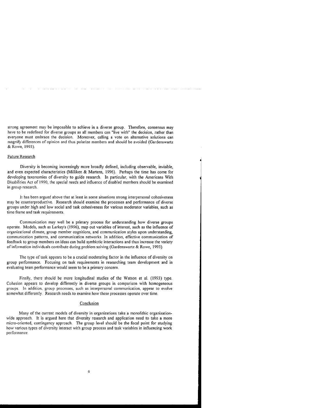strong agreement may be impossible to achieve in a diverse group. Therefore, consensus may have to be redefined for diverse groups as all members can "live with" the decision, rather than everyone must embrace the decision. Moreover, calling a vote on alternative solutions can magnify differences of opinion and thus polarize members and should be avoided (Gardenswartz &Rowe, 1993).

#### Future Research

Diversity is becoming increasingly more broadly defined, including observable, invisible, and even expected characteristics (Milliken & Martens, 1996). Perhaps the time has come for developing taxonomies of diversity to guide research. In particular, with the Americans With Disabilities Act of 1990, the special needs and influence of disabled members should be examined in group research.

It has been argued above that at least in some situations strong interpersonal cohesiveness may be counterproductive. Research should examine the processes and performance of diverse groups under high and low social and task cohesiveness for various moderator variables, such as time frame and task requirements.

Communication may well be a primary process for understanding how diverse groups operate. Models, such as Larkey's (1996), map out variables of interest, such as the influence of organizational climate, group member cognitions, and communication styles upon understanding, communication patterns, and communication networks. In addition, effective communication of feedback to group members on ideas can build symbiotic interactions and thus increase the variety of information individuals contribute during problem solving (Gardenswartz & Rowe, 1993).

The type of task appears to be a crucial moderating factor in the influence of diversity on group performance. Focusing on task requirements in researching team development and in evaluating team performance would seem to be a primary concern.

Finally, there should be more longitudinal studies of the Watson et al. (1993) type. Cohesion appears to develop differently in diverse groups in comparison with homogeneous groups. In addition, group processes, such as interpersonal communication, appear to evolve somewhat differently. Research needs to examine how these processes operate over time.

#### **Conclusion**

Many of the current models of diversity in organizations take a monolithic organizationwide approach. It is argued here that diversity research and application need to take a more micro-oriented, contingency approach. The group level should be the focal point for studying how various types of diversity interact with group process and task variables in influencing work performance.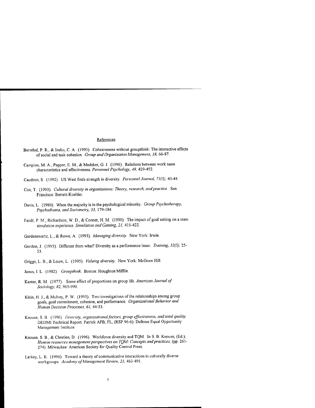## References

- Bernthal, P. R., & Insko, C. A. (1993). Cohesiveness without groupthink: The interactive effects of social and task cohesion. *Group and Organization Management, 18,* 66-87.
- Campion, M. A., Papper, E. M., & Medsker, G. J. (1996). Relations between work team characteristics and effectiveness. *Personnel Psychology, 49,* 429-452.
- Caudron, S. (1992). US West finds strength in diversity. *Personnel Journal, 71(3),* 40-44.
- Cox, T. (1993). *Cultural diversity in organizations: Theory, research, andpractice.* San Francisco: Berrett-Koehler.
- Davis, L. (1980). When the majority is in the psychological minority. *Group Psychotherapy, Psychodrama, and Sociometry, 33,* 179-184.
- Fandt, P. M., Richardson, W. D., & Conner, H. M. (1990). The impact of goal setting on a team simulation experience. *Simulation and Gaming, 21,* 411-422.
- Gardenswartz, L., & Rowe, A. (1993). *Managing diversity.* New York: Irwin.
- Gordon,! (1995). Different from what? Diversity as a performance issue. *Training, 32(5),* 25- 33.
- Griggs, L. B., & Louw, L. (1995). *Valuing diversity.* New York: McGraw Hill.
- Janus, I. L. (1982). *Groupthink.* Boston: Houghton Mifflin.
- Kanter, R. M. (1977). Some effect of proportions on group life. *American Journal of Sociology, 82,* 965-990.
- Klein, H. J., & Mulvey, P. W. (1995). Two investigations of the relationships among group goals, goal commitment, cohesion, and performance. *Organizational Behavior and Human Decision Processes, 61,* 44-53.
- Knouse, S. B. (1996). *Diversity, organizationalfactors, group effectiveness, and total quality.* DEOMI Technical Report. Patrick AFB, FL, (RSP 96-6): Defense Equal Opportunity Management Institute.
- Knouse, S. B, & Chretien, D. (1996). Workforce diversity and TQM. In S. B. Knouse, (Ed.), *Human resources management perspectives on TQM: Concepts andpractices,* (pp. 261- 274). Milwaukee: American Society for Quality Control Press.
- Larkey, L. K. (1996). Toward a theory of communicative interactions in culturally diverse workgroups. *Academy ofManagement Review, 21,* 463-491.